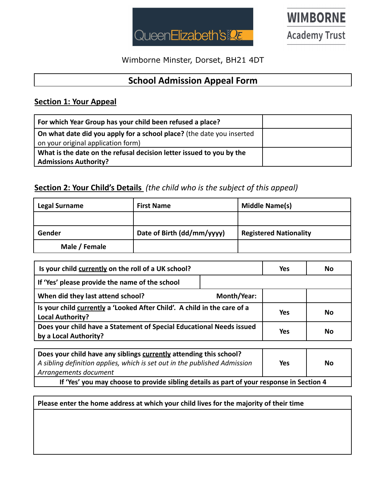

**WIMBORNE Academy Trust** 

Wimborne Minster, Dorset, BH21 4DT

## **School Admission Appeal Form**

### **Section 1: Your Appeal**

| For which Year Group has your child been refused a place?                                                   |  |
|-------------------------------------------------------------------------------------------------------------|--|
| On what date did you apply for a school place? (the date you inserted<br>on your original application form) |  |
| What is the date on the refusal decision letter issued to you by the<br><b>Admissions Authority?</b>        |  |

#### **Section 2: Your Child's Details** *(the child who is the subject of this appeal)*

| <b>Legal Surname</b> | <b>First Name</b>          | Middle Name(s)                |
|----------------------|----------------------------|-------------------------------|
|                      |                            |                               |
| Gender               | Date of Birth (dd/mm/yyyy) | <b>Registered Nationality</b> |
| Male / Female        |                            |                               |

| Is your child currently on the roll of a UK school?                                                 |             | <b>Yes</b> | No |
|-----------------------------------------------------------------------------------------------------|-------------|------------|----|
| If 'Yes' please provide the name of the school                                                      |             |            |    |
| When did they last attend school?                                                                   | Month/Year: |            |    |
| Is your child currently a 'Looked After Child'. A child in the care of a<br><b>Local Authority?</b> |             | <b>Yes</b> | No |
| Does your child have a Statement of Special Educational Needs issued<br>by a Local Authority?       |             | Yes        | No |

| Does your child have any siblings currently attending this school?<br>$\vert$ A sibling definition applies, which is set out in the published Admission<br>Arrangements document | Yes | No. |
|----------------------------------------------------------------------------------------------------------------------------------------------------------------------------------|-----|-----|
| If 'Yes' you may choose to provide sibling details as part of your response in Section 4                                                                                         |     |     |

**Please enter the home address at which your child lives for the majority of their time**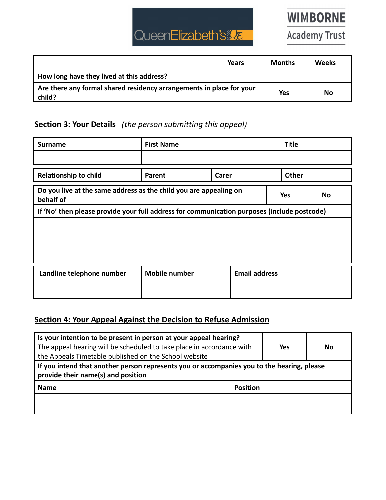# QueenElizabeth's

**Academy Trust** 

|                                                                                | Years | <b>Months</b> | Weeks |
|--------------------------------------------------------------------------------|-------|---------------|-------|
| How long have they lived at this address?                                      |       |               |       |
| Are there any formal shared residency arrangements in place for your<br>child? |       | <b>Yes</b>    | No    |

## **Section 3: Your Details** *(the person submitting this appeal)*

| <b>Surname</b>                                                                              | <b>First Name</b>    |                      | <b>Title</b>                                                             |  |  |    |
|---------------------------------------------------------------------------------------------|----------------------|----------------------|--------------------------------------------------------------------------|--|--|----|
|                                                                                             |                      |                      |                                                                          |  |  |    |
| <b>Relationship to child</b>                                                                | Parent<br>Carer      |                      | <b>Other</b>                                                             |  |  |    |
| behalf of                                                                                   |                      |                      | Do you live at the same address as the child you are appealing on<br>Yes |  |  | No |
| If 'No' then please provide your full address for communication purposes (include postcode) |                      |                      |                                                                          |  |  |    |
|                                                                                             |                      |                      |                                                                          |  |  |    |
|                                                                                             |                      |                      |                                                                          |  |  |    |
|                                                                                             |                      |                      |                                                                          |  |  |    |
| Landline telephone number                                                                   | <b>Mobile number</b> | <b>Email address</b> |                                                                          |  |  |    |
|                                                                                             |                      |                      |                                                                          |  |  |    |
|                                                                                             |                      |                      |                                                                          |  |  |    |

### **Section 4: Your Appeal Against the Decision to Refuse Admission**

| Is your intention to be present in person at your appeal hearing?<br>The appeal hearing will be scheduled to take place in accordance with<br>the Appeals Timetable published on the School website |  | <b>Yes</b> | <b>No</b> |
|-----------------------------------------------------------------------------------------------------------------------------------------------------------------------------------------------------|--|------------|-----------|
| If you intend that another person represents you or accompanies you to the hearing, please<br>provide their name(s) and position                                                                    |  |            |           |
| <b>Name</b><br><b>Position</b>                                                                                                                                                                      |  |            |           |
|                                                                                                                                                                                                     |  |            |           |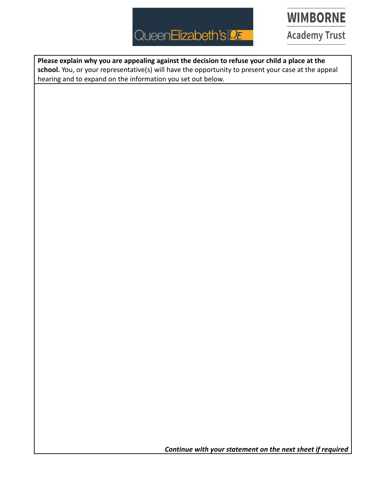# QueenElizabeth's

**WIMBORNE** 

**Academy Trust** 

**Please explain why you are appealing against the decision to refuse your child a place at the school.** You, or your representative(s) will have the opportunity to present your case at the appeal hearing and to expand on the information you set out below.

*Continue with your statement on the next sheet if required*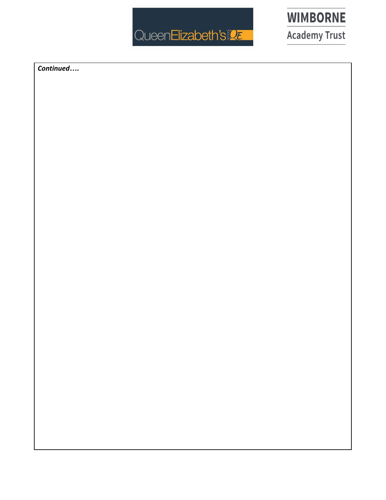



Continued....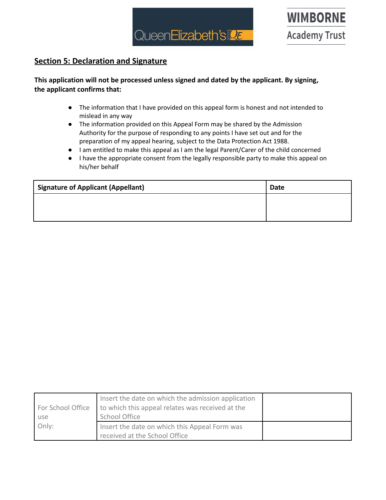

#### **Section 5: Declaration and Signature**

#### **This application will not be processed unless signed and dated by the applicant. By signing, the applicant confirms that:**

- The information that I have provided on this appeal form is honest and not intended to mislead in any way
- The information provided on this Appeal Form may be shared by the Admission Authority for the purpose of responding to any points I have set out and for the preparation of my appeal hearing, subject to the Data Protection Act 1988.
- I am entitled to make this appeal as I am the legal Parent/Carer of the child concerned
- I have the appropriate consent from the legally responsible party to make this appeal on his/her behalf

| <b>Signature of Applicant (Appellant)</b> | Date |
|-------------------------------------------|------|
|                                           |      |
|                                           |      |

|                   | Insert the date on which the admission application |  |
|-------------------|----------------------------------------------------|--|
| For School Office | to which this appeal relates was received at the   |  |
| use               | School Office                                      |  |
| Only:             | Insert the date on which this Appeal Form was      |  |
|                   | received at the School Office                      |  |